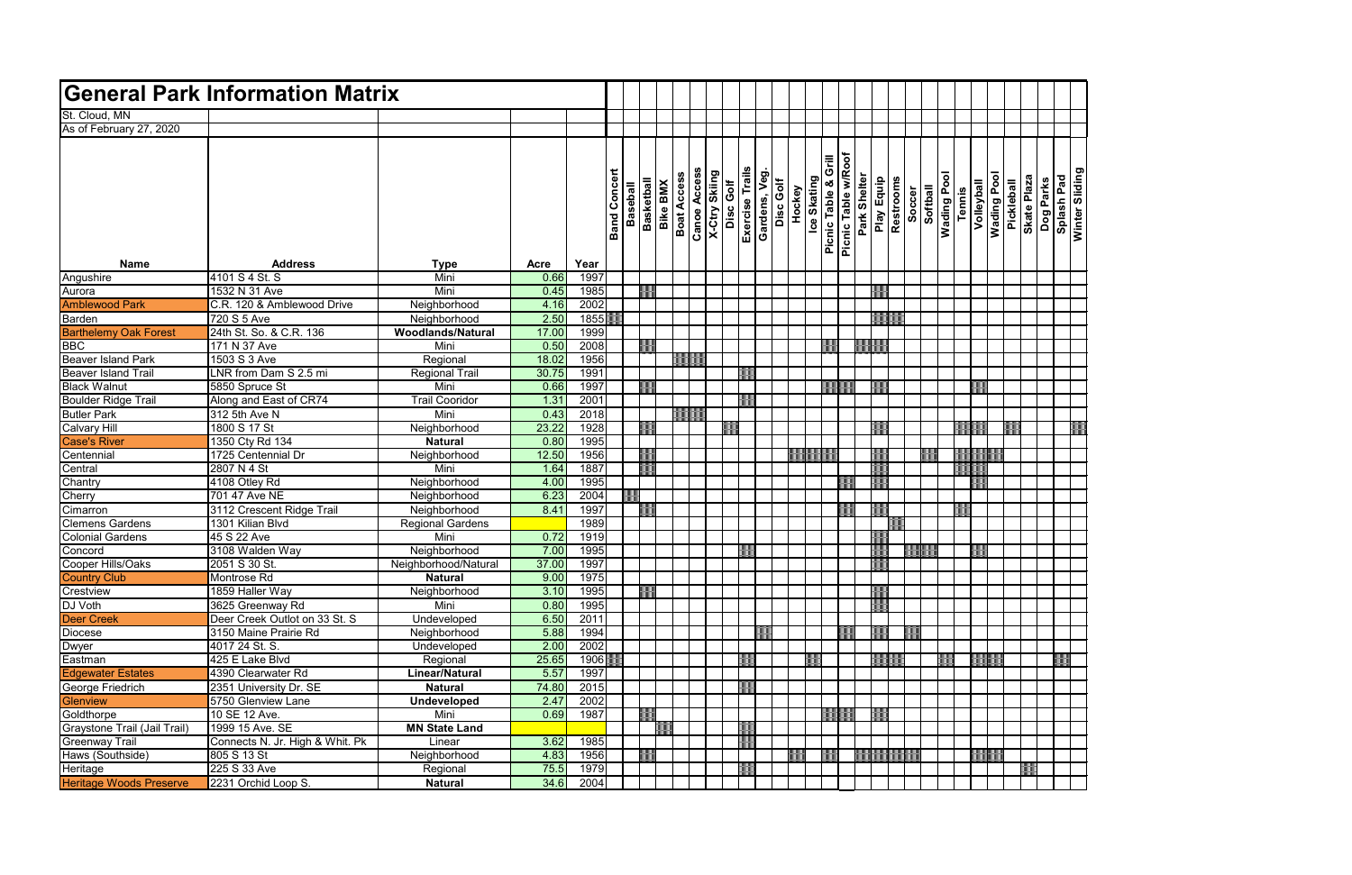|        |            | <b>Wading Pool</b> |            |             |           |            | Winter Sliding |
|--------|------------|--------------------|------------|-------------|-----------|------------|----------------|
|        | Volleyball |                    | Pickleball | Skate Plaza | Dog Parks | Splash Pad |                |
| Tennis |            |                    |            |             |           |            |                |
|        |            |                    |            |             |           |            |                |
|        |            |                    |            |             |           |            |                |
|        |            |                    |            |             |           |            |                |
|        |            |                    |            |             |           |            |                |
|        |            |                    |            |             |           |            |                |
|        |            |                    |            |             |           |            |                |
|        |            |                    |            |             |           |            |                |
|        |            |                    |            |             |           |            |                |
|        |            |                    |            |             |           |            |                |
|        |            |                    |            |             |           |            |                |
|        |            |                    |            |             |           |            |                |
|        |            |                    |            |             |           |            |                |
|        |            |                    |            |             |           |            |                |
|        |            |                    |            |             |           |            |                |
|        |            |                    |            |             |           |            |                |
|        |            |                    |            |             |           |            |                |
|        |            |                    |            |             |           |            |                |
|        |            |                    |            |             |           |            |                |
|        |            |                    |            |             |           |            |                |
|        |            |                    |            |             |           |            |                |
|        |            |                    |            |             |           |            |                |
|        |            |                    |            |             |           |            |                |
|        |            |                    |            |             |           |            |                |
|        |            |                    |            |             |           |            |                |
|        |            |                    |            |             |           |            |                |
|        |            |                    |            |             |           |            |                |
|        |            |                    |            |             |           |            |                |
|        |            |                    |            |             |           |            |                |
|        |            |                    |            |             |           |            |                |
|        |            |                    |            |             |           |            |                |
|        |            |                    |            |             |           |            |                |
|        |            |                    |            |             |           |            |                |
|        |            |                    |            |             |           |            |                |
|        |            |                    |            |             |           |            |                |
|        |            |                    |            |             |           |            |                |
|        |            | <u>andar</u>       |            |             |           |            |                |
|        |            |                    |            |             |           |            |                |
|        |            |                    |            |             |           |            |                |
|        |            |                    |            |             |           |            |                |
|        |            |                    |            |             |           |            |                |
|        |            |                    |            |             |           |            |                |
|        |            |                    |            |             |           |            |                |
|        |            |                    |            |             |           |            |                |
|        |            |                    |            |             |           |            |                |
|        |            |                    |            |             |           |            |                |
|        |            |                    |            |             |           |            |                |
|        |            |                    |            |             |           |            |                |

|                                           | <b>General Park Information Matrix</b><br>As of February 27, 2020 |                               |              |              |                     |                 |                   |                                       |                     |               |                              |              |           |                       |                              |              |                   |           |                    |             |        |            |            |            |                          |                                     |  |
|-------------------------------------------|-------------------------------------------------------------------|-------------------------------|--------------|--------------|---------------------|-----------------|-------------------|---------------------------------------|---------------------|---------------|------------------------------|--------------|-----------|-----------------------|------------------------------|--------------|-------------------|-----------|--------------------|-------------|--------|------------|------------|------------|--------------------------|-------------------------------------|--|
| St. Cloud, MN                             |                                                                   |                               |              |              |                     |                 |                   |                                       |                     |               |                              |              |           |                       |                              |              |                   |           |                    |             |        |            |            |            |                          |                                     |  |
|                                           |                                                                   |                               |              |              |                     |                 |                   |                                       |                     |               |                              |              |           |                       |                              |              |                   |           |                    |             |        |            |            |            |                          |                                     |  |
|                                           |                                                                   |                               |              |              |                     |                 |                   |                                       |                     |               |                              |              |           |                       |                              |              |                   |           |                    |             |        |            |            |            |                          |                                     |  |
|                                           |                                                                   |                               |              |              |                     |                 |                   |                                       |                     |               |                              |              |           |                       | Picnic Table w/Roof<br>Grill |              |                   |           |                    |             |        |            |            |            |                          |                                     |  |
|                                           |                                                                   |                               |              |              |                     |                 |                   |                                       |                     |               |                              |              |           |                       |                              |              |                   |           |                    |             |        |            |            |            |                          |                                     |  |
|                                           |                                                                   |                               |              |              | <b>Band Concert</b> | <b>Baseball</b> | <b>Basketball</b> | <b>Boat Access</b><br><b>Bike BMX</b> | <b>Canoe Access</b> | X-Ctry Skiing | Exercise Trails<br>Disc Golf | Gardens, Veg | Disc Golf | Hockey<br>Ice Skating | <b>Picnic Table &amp;</b>    | Park Shelter | <b>Play Equip</b> | Restrooms | Soccer<br>Softball | Wading Pool | Tennis | Volleyball | Wading Poo | Pickleball | Skate Plaza<br>Dog Parks | <b>Splash Pad</b><br>Minter Slidion |  |
|                                           |                                                                   |                               |              |              |                     |                 |                   |                                       |                     |               |                              |              |           |                       |                              |              |                   |           |                    |             |        |            |            |            |                          |                                     |  |
|                                           |                                                                   |                               |              |              |                     |                 |                   |                                       |                     |               |                              |              |           |                       |                              |              |                   |           |                    |             |        |            |            |            |                          |                                     |  |
|                                           |                                                                   |                               |              |              |                     |                 |                   |                                       |                     |               |                              |              |           |                       |                              |              |                   |           |                    |             |        |            |            |            |                          |                                     |  |
|                                           |                                                                   |                               |              |              |                     |                 |                   |                                       |                     |               |                              |              |           |                       |                              |              |                   |           |                    |             |        |            |            |            |                          |                                     |  |
| <b>Name</b>                               | <b>Address</b>                                                    | <b>Type</b>                   | Acre         | Year         |                     |                 |                   |                                       |                     |               |                              |              |           |                       |                              |              |                   |           |                    |             |        |            |            |            |                          |                                     |  |
| Angushire                                 | 4101 S 4 St. S                                                    | Mini                          | 0.66         | 1997         |                     |                 |                   |                                       |                     |               |                              |              |           |                       |                              |              |                   |           |                    |             |        |            |            |            |                          |                                     |  |
| Aurora                                    | 1532 N 31 Ave                                                     | Mini                          | 0.45         | 1985         |                     |                 |                   |                                       |                     |               |                              |              |           |                       |                              |              |                   |           |                    |             |        |            |            |            |                          |                                     |  |
| <b>Amblewood Park</b>                     | C.R. 120 & Amblewood Drive                                        | Neighborhood                  | 4.16         | 2002         |                     |                 |                   |                                       |                     |               |                              |              |           |                       |                              |              |                   |           |                    |             |        |            |            |            |                          |                                     |  |
| Barden                                    | 720 S 5 Ave                                                       | Neighborhood                  | 2.50         | 1855         |                     |                 |                   |                                       |                     |               |                              |              |           |                       |                              |              |                   |           |                    |             |        |            |            |            |                          |                                     |  |
| <b>Barthelemy Oak Forest</b>              | 24th St. So. & C.R. 136                                           | Woodlands/Natural             | 17.00        | 1999         |                     |                 |                   |                                       |                     |               |                              |              |           |                       |                              |              |                   |           |                    |             |        |            |            |            |                          |                                     |  |
| <b>BBC</b>                                | 171 N 37 Ave                                                      | Mini                          | 0.50         | 2008         |                     |                 |                   |                                       |                     |               |                              |              |           |                       |                              |              |                   |           |                    |             |        |            |            |            |                          |                                     |  |
| <b>Beaver Island Park</b>                 | 1503 S 3 Ave                                                      | Regional                      | 18.02        | 1956         |                     |                 |                   |                                       |                     |               |                              |              |           |                       |                              |              |                   |           |                    |             |        |            |            |            |                          |                                     |  |
| <b>Beaver Island Trail</b>                | LNR from Dam S 2.5 mi                                             | <b>Regional Trail</b>         | 30.75        | 1991         |                     |                 |                   |                                       |                     |               |                              |              |           |                       |                              |              |                   |           |                    |             |        |            |            |            |                          |                                     |  |
| <b>Black Walnut</b>                       | 5850 Spruce St                                                    | Mini                          | 0.66         | 1997         |                     |                 |                   |                                       |                     |               |                              |              |           |                       |                              |              |                   |           |                    |             |        |            |            |            |                          |                                     |  |
| Boulder Ridge Trail<br><b>Butler Park</b> | Along and East of CR74<br>312 5th Ave N                           | <b>Trail Cooridor</b><br>Mini | 1.31<br>0.43 | 2001<br>2018 |                     |                 |                   |                                       |                     |               |                              |              |           |                       |                              |              |                   |           |                    |             |        |            |            |            |                          |                                     |  |
| <b>Calvary Hill</b>                       | 1800 S 17 St                                                      | Neighborhood                  | 23.22        | 1928         |                     |                 |                   |                                       |                     |               |                              |              |           |                       |                              |              |                   |           |                    |             |        |            |            |            |                          |                                     |  |
| <b>Case's River</b>                       | 1350 Cty Rd 134                                                   | <b>Natural</b>                | 0.80         | 1995         |                     |                 |                   |                                       |                     |               |                              |              |           |                       |                              |              |                   |           |                    |             |        |            |            |            |                          |                                     |  |
| Centennial                                | 1725 Centennial Dr                                                | Neighborhood                  | 12.50        | 1956         |                     |                 |                   |                                       |                     |               |                              |              |           |                       |                              |              |                   |           |                    |             |        |            |            |            |                          |                                     |  |
| Central                                   | 2807 N 4 St                                                       | Mini                          | 1.64         | 1887         |                     |                 |                   |                                       |                     |               |                              |              |           |                       |                              |              |                   |           |                    |             |        |            |            |            |                          |                                     |  |
| Chantry                                   | 4108 Otley Rd                                                     | Neighborhood                  | 4.00         | 1995         |                     |                 |                   |                                       |                     |               |                              |              |           |                       |                              |              |                   |           |                    |             |        |            |            |            |                          |                                     |  |
| Cherry                                    | 701 47 Ave NE                                                     | Neighborhood                  | 6.23         | 2004         |                     |                 |                   |                                       |                     |               |                              |              |           |                       |                              |              |                   |           |                    |             |        |            |            |            |                          |                                     |  |
| Cimarron                                  | 3112 Crescent Ridge Trail                                         | Neighborhood                  | 8.41         | 1997         |                     |                 |                   |                                       |                     |               |                              |              |           |                       |                              |              |                   |           |                    |             |        |            |            |            |                          |                                     |  |
| <b>Clemens Gardens</b>                    | 1301 Kilian Blvd                                                  | <b>Regional Gardens</b>       |              | 1989         |                     |                 |                   |                                       |                     |               |                              |              |           |                       |                              |              |                   |           |                    |             |        |            |            |            |                          |                                     |  |
| <b>Colonial Gardens</b>                   | 45 S 22 Ave                                                       | Mini                          | 0.72         | 1919         |                     |                 |                   |                                       |                     |               |                              |              |           |                       |                              |              |                   |           |                    |             |        |            |            |            |                          |                                     |  |
| Concord                                   | 3108 Walden Way                                                   | Neighborhood                  | 7.00         | 1995         |                     |                 |                   |                                       |                     |               |                              |              |           |                       |                              |              |                   |           |                    |             |        |            |            |            |                          |                                     |  |
| Cooper Hills/Oaks                         | 2051 S 30 St.                                                     | Neighborhood/Natural          | 37.00        | 1997         |                     |                 |                   |                                       |                     |               |                              |              |           |                       |                              |              |                   |           |                    |             |        |            |            |            |                          |                                     |  |
| <b>Country Club</b>                       | Montrose Rd                                                       | <b>Natural</b>                | 9.00         | 1975         |                     |                 |                   |                                       |                     |               |                              |              |           |                       |                              |              |                   |           |                    |             |        |            |            |            |                          |                                     |  |
| Crestview                                 | 1859 Haller Way                                                   | Neighborhood                  | 3.10         | 1995         |                     |                 |                   |                                       |                     |               |                              |              |           |                       |                              |              |                   |           |                    |             |        |            |            |            |                          |                                     |  |
| DJ Voth                                   | 3625 Greenway Rd                                                  | Mini                          | 0.80         | 1995         |                     |                 |                   |                                       |                     |               |                              |              |           |                       |                              |              |                   |           |                    |             |        |            |            |            |                          |                                     |  |
| <b>Deer Creek</b>                         | Deer Creek Outlot on 33 St. S                                     | Undeveloped                   | 6.50         | 2011         |                     |                 |                   |                                       |                     |               |                              |              |           |                       |                              |              |                   |           |                    |             |        |            |            |            |                          |                                     |  |
| Diocese                                   | 3150 Maine Prairie Rd                                             | Neighborhood                  | 5.88         | 1994         |                     |                 |                   |                                       |                     |               |                              |              |           |                       |                              |              |                   |           |                    |             |        |            |            |            |                          |                                     |  |
| Dwyer                                     | 4017 24 St. S.                                                    | Undeveloped                   | 2.00         | 2002         |                     |                 |                   |                                       |                     |               |                              |              |           |                       |                              |              |                   |           |                    |             |        |            |            |            |                          |                                     |  |
| Eastman                                   | 425 E Lake Blvd                                                   | Regional                      | 25.65        | 1906         |                     |                 |                   |                                       |                     |               |                              |              |           |                       |                              |              |                   |           |                    |             |        |            |            |            |                          |                                     |  |
| <b>Edgewater Estates</b>                  | 4390 Clearwater Rd                                                | <b>Linear/Natural</b>         | 5.57         | 1997         |                     |                 |                   |                                       |                     |               |                              |              |           |                       |                              |              |                   |           |                    |             |        |            |            |            |                          |                                     |  |
| George Friedrich                          | 2351 University Dr. SE                                            | <b>Natural</b>                | 74.80        | 2015         |                     |                 |                   |                                       |                     |               |                              |              |           |                       |                              |              |                   |           |                    |             |        |            |            |            |                          |                                     |  |
| <b>Glenview</b>                           | 5750 Glenview Lane                                                | <b>Undeveloped</b>            | 2.47         | 2002         |                     |                 |                   |                                       |                     |               |                              |              |           |                       |                              |              |                   |           |                    |             |        |            |            |            |                          |                                     |  |
| Goldthorpe                                | 10 SE 12 Ave.                                                     | Mini                          | 0.69         | 1987         |                     |                 |                   |                                       |                     |               |                              |              |           |                       |                              |              |                   |           |                    |             |        |            |            |            |                          |                                     |  |
| Graystone Trail (Jail Trail)              | 1999 15 Ave. SE                                                   | <b>MN State Land</b>          |              |              |                     |                 |                   |                                       |                     |               |                              |              |           |                       |                              |              |                   |           |                    |             |        |            |            |            |                          |                                     |  |
| <b>Greenway Trail</b>                     | Connects N. Jr. High & Whit. Pk                                   | Linear                        | 3.62         | 1985         |                     |                 |                   |                                       |                     |               |                              |              |           |                       |                              |              |                   |           |                    |             |        |            |            |            |                          |                                     |  |
| Haws (Southside)                          | 805 S 13 St                                                       | Neighborhood                  | 4.83         | 1956         |                     |                 |                   |                                       |                     |               |                              |              |           |                       |                              |              |                   |           |                    |             |        |            |            |            |                          |                                     |  |
| Heritage                                  | 225 S 33 Ave                                                      | Regional                      | 75.5         | 1979         |                     |                 |                   |                                       |                     |               |                              |              |           |                       |                              |              |                   |           |                    |             |        |            |            |            |                          |                                     |  |
| <b>Heritage Woods Preserve</b>            | 2231 Orchid Loop S.                                               | <b>Natural</b>                | 34.6         | 2004         |                     |                 |                   |                                       |                     |               |                              |              |           |                       |                              |              |                   |           |                    |             |        |            |            |            |                          |                                     |  |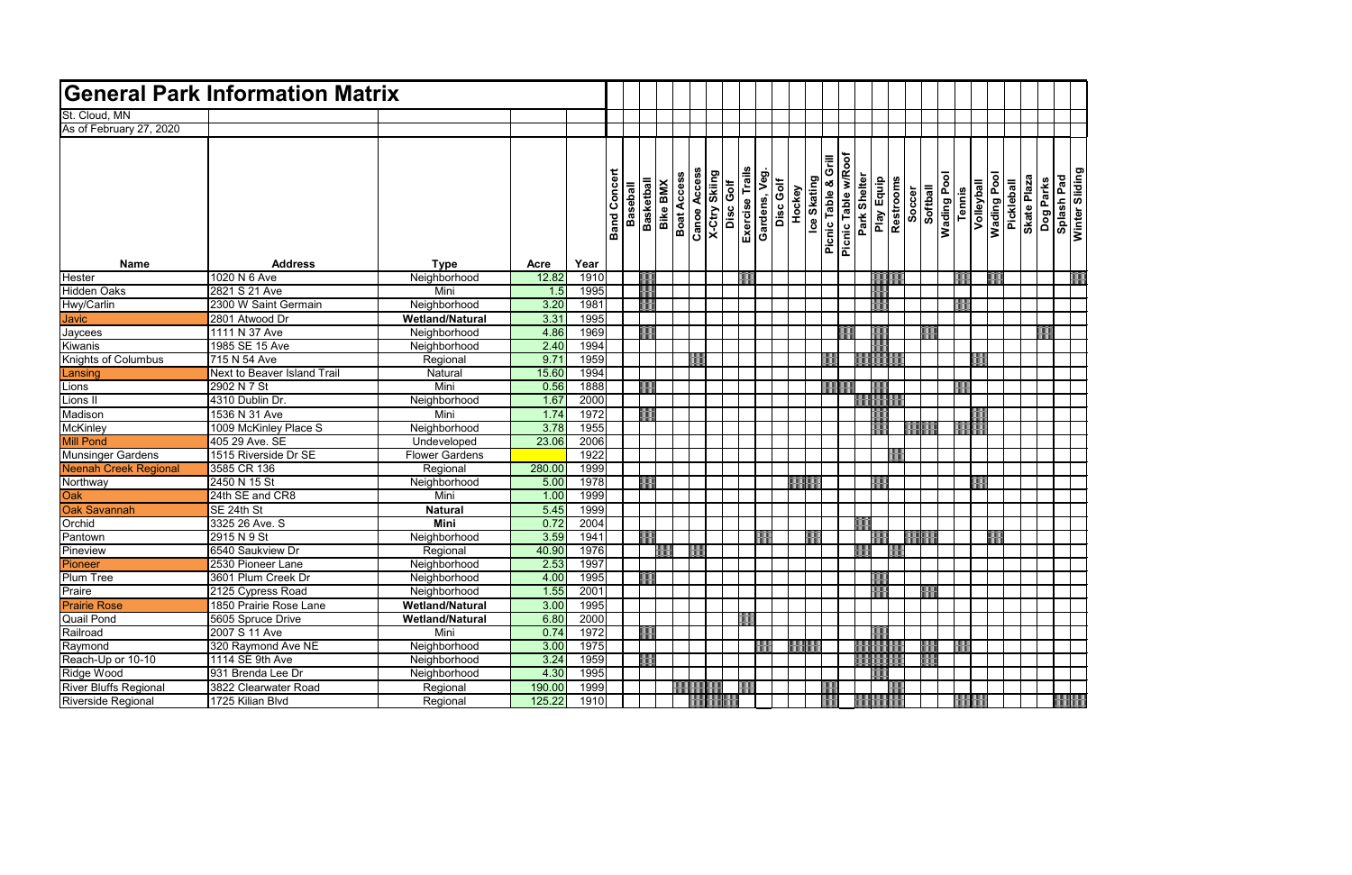|        | Volleyball | <b>Wading Pool</b> | Pickleball | Skate Plaza | Dog Parks | Splash Pad | Winter Sliding |
|--------|------------|--------------------|------------|-------------|-----------|------------|----------------|
| lennis |            |                    |            |             |           |            |                |
|        |            |                    |            |             |           |            |                |
|        |            |                    |            |             |           |            |                |
|        |            |                    |            |             |           |            |                |
|        |            |                    |            |             |           |            |                |
|        |            |                    |            |             |           |            |                |
|        |            |                    |            |             |           |            |                |
|        |            |                    |            |             |           |            |                |
|        |            |                    |            |             |           |            |                |
|        |            |                    |            |             |           |            |                |
|        |            |                    |            |             |           |            |                |
|        |            |                    |            |             |           |            |                |
|        |            |                    |            |             |           |            |                |
|        |            |                    |            |             |           |            |                |
|        |            |                    |            |             |           |            |                |
|        |            |                    |            |             |           |            |                |
|        |            |                    |            |             |           |            |                |
|        |            |                    |            |             |           |            |                |
|        |            |                    |            |             |           |            |                |
|        |            |                    |            |             |           |            |                |
|        |            |                    |            |             |           |            |                |
|        |            |                    |            |             |           |            |                |
|        |            |                    |            |             |           |            |                |
|        |            |                    |            |             |           |            |                |
|        |            |                    |            |             |           |            |                |
|        |            |                    |            |             |           |            |                |
|        |            |                    |            |             |           |            |                |
|        |            |                    |            |             |           |            |                |
|        |            |                    |            |             |           |            |                |
|        |            |                    |            |             |           |            |                |
|        |            |                    |            |             |           |            |                |
|        |            |                    |            |             |           |            |                |
|        |            |                    |            |             |           |            |                |
|        |            |                    |            |             |           |            |                |
|        |            |                    |            |             |           |            |                |
|        |            |                    |            |             |           |            |                |
|        |            |                    |            |             |           |            |                |
|        |            |                    |            |             |           |            |                |
|        |            |                    |            |             |           |            |                |
|        |            |                    |            |             |           |            |                |

|                              | <b>General Park Information Matrix</b> |                               |              |              |                     |                 |                                      |                   |                     |                                   |                                 |           |                       |                |                     |              |            |           |          |             |               |                   |                           |                    |                         |  |
|------------------------------|----------------------------------------|-------------------------------|--------------|--------------|---------------------|-----------------|--------------------------------------|-------------------|---------------------|-----------------------------------|---------------------------------|-----------|-----------------------|----------------|---------------------|--------------|------------|-----------|----------|-------------|---------------|-------------------|---------------------------|--------------------|-------------------------|--|
| St. Cloud, MN                |                                        |                               |              |              |                     |                 |                                      |                   |                     |                                   |                                 |           |                       |                |                     |              |            |           |          |             |               |                   |                           |                    |                         |  |
| As of February 27, 2020      |                                        |                               |              |              |                     |                 |                                      |                   |                     |                                   |                                 |           |                       |                |                     |              |            |           |          |             |               |                   |                           |                    |                         |  |
|                              |                                        |                               |              |              |                     |                 |                                      |                   |                     |                                   |                                 |           |                       |                |                     |              |            |           |          |             |               |                   |                           |                    |                         |  |
|                              |                                        |                               |              |              |                     |                 |                                      |                   |                     |                                   |                                 |           |                       | <b>Grill</b>   |                     |              |            |           |          |             |               |                   |                           |                    |                         |  |
|                              |                                        |                               |              |              |                     |                 |                                      |                   |                     | <b>X-Ctry Skiing</b><br>Disc Golf |                                 |           |                       |                | Picnic Table w/Roof |              |            |           |          |             |               |                   |                           |                    |                         |  |
|                              |                                        |                               |              |              | <b>Band Concert</b> |                 | <b>Basketball</b><br><b>Bike BMX</b> | <b>Boat Acces</b> | <b>Canoe Access</b> |                                   | Exercise Trails<br>Gardens, Veg | Disc Golf | Hockey<br>Ice Skating |                |                     | Park Shelter | Play Equip | Restrooms |          | Wading Pool |               | <b>Nolleyball</b> | Wading Pool<br>Pickleball | <b>Skate Plaza</b> | Dog Parks<br>Splash Pad |  |
|                              |                                        |                               |              |              |                     |                 |                                      |                   |                     |                                   |                                 |           |                       |                |                     |              |            | Soccer    |          |             |               |                   |                           |                    |                         |  |
|                              |                                        |                               |              |              |                     | <b>Baseball</b> |                                      |                   |                     |                                   |                                 |           |                       |                |                     |              |            |           | Softball |             | <b>Tennis</b> |                   |                           |                    |                         |  |
|                              |                                        |                               |              |              |                     |                 |                                      |                   |                     |                                   |                                 |           |                       |                |                     |              |            |           |          |             |               |                   |                           |                    |                         |  |
|                              |                                        |                               |              |              |                     |                 |                                      |                   |                     |                                   |                                 |           |                       | Picnic Table & |                     |              |            |           |          |             |               |                   |                           |                    |                         |  |
| <b>Name</b>                  | <b>Address</b>                         | <b>Type</b>                   | Acre         | Year         |                     |                 |                                      |                   |                     |                                   |                                 |           |                       |                |                     |              |            |           |          |             |               |                   |                           |                    |                         |  |
| Hester                       | 1020 N 6 Ave                           | Neighborhood                  | 12.82        | 1910         |                     |                 |                                      |                   |                     |                                   |                                 |           |                       |                |                     |              |            |           |          |             |               |                   |                           |                    |                         |  |
| Hidden Oaks                  | 2821 S 21 Ave                          | Mini                          | 1.5          | 1995         |                     |                 |                                      |                   |                     |                                   |                                 |           |                       |                |                     |              |            |           |          |             |               |                   |                           |                    |                         |  |
| Hwy/Carlin                   | 2300 W Saint Germain                   | Neighborhood                  | 3.20         | 1981         |                     |                 |                                      |                   |                     |                                   |                                 |           |                       |                |                     |              |            |           |          |             |               |                   |                           |                    |                         |  |
| <b>Javic</b>                 | 2801 Atwood Dr                         | <b>Wetland/Natural</b>        | 3.31         | 1995         |                     |                 |                                      |                   |                     |                                   |                                 |           |                       |                |                     |              |            |           |          |             |               |                   |                           |                    |                         |  |
| Jaycees                      | 1111 N 37 Ave                          | Neighborhood                  | 4.86         | 1969         |                     |                 |                                      |                   |                     |                                   |                                 |           |                       |                |                     |              |            |           |          |             |               |                   |                           |                    |                         |  |
| Kiwanis                      | 1985 SE 15 Ave                         | Neighborhood                  | 2.40         | 1994         |                     |                 |                                      |                   |                     |                                   |                                 |           |                       |                |                     |              |            |           |          |             |               |                   |                           |                    |                         |  |
| Knights of Columbus          | 715 N 54 Ave                           | Regional                      | 9.71         | 1959         |                     |                 |                                      |                   |                     |                                   |                                 |           |                       |                |                     |              |            |           |          |             |               |                   |                           |                    |                         |  |
| Lansing                      | Next to Beaver Island Trail            | Natural                       | 15.60        | 1994         |                     |                 |                                      |                   |                     |                                   |                                 |           |                       |                |                     |              |            |           |          |             |               |                   |                           |                    |                         |  |
| Lions                        | 2902 N 7 St                            | Mini                          | 0.56         | 1888         |                     |                 |                                      |                   |                     |                                   |                                 |           |                       |                |                     |              |            |           |          |             |               |                   |                           |                    |                         |  |
| Lions II                     | 4310 Dublin Dr.                        | Neighborhood                  | 1.67         | 2000         |                     |                 |                                      |                   |                     |                                   |                                 |           |                       |                |                     |              |            |           |          |             |               |                   |                           |                    |                         |  |
| Madison                      | 1536 N 31 Ave                          | Mini                          | 1.74         | 1972         |                     |                 |                                      |                   |                     |                                   |                                 |           |                       |                |                     |              |            |           |          |             |               |                   |                           |                    |                         |  |
| <b>McKinley</b>              | 1009 McKinley Place S                  | Neighborhood                  | 3.78         | 1955         |                     |                 |                                      |                   |                     |                                   |                                 |           |                       |                |                     |              |            |           |          |             |               |                   |                           |                    |                         |  |
| <b>Mill Pond</b>             | 405 29 Ave. SE                         | Undeveloped                   | 23.06        | 2006         |                     |                 |                                      |                   |                     |                                   |                                 |           |                       |                |                     |              |            |           |          |             |               |                   |                           |                    |                         |  |
| <b>Munsinger Gardens</b>     | 1515 Riverside Dr SE                   | <b>Flower Gardens</b>         |              | 1922         |                     |                 |                                      |                   |                     |                                   |                                 |           |                       |                |                     |              |            |           |          |             |               |                   |                           |                    |                         |  |
| <b>Neenah Creek Regional</b> | 3585 CR 136                            | Regional                      | 280.00       | 1999         |                     |                 |                                      |                   |                     |                                   |                                 |           |                       |                |                     |              |            |           |          |             |               |                   |                           |                    |                         |  |
| Northway                     | 2450 N 15 St                           | Neighborhood                  | 5.00         | 1978         |                     |                 |                                      |                   |                     |                                   |                                 |           |                       |                |                     |              |            |           |          |             |               |                   |                           |                    |                         |  |
| Oak<br><b>Oak Savannah</b>   | 24th SE and CR8                        | Mini                          | 1.00         | 1999         |                     |                 |                                      |                   |                     |                                   |                                 |           |                       |                |                     |              |            |           |          |             |               |                   |                           |                    |                         |  |
| Orchid                       | SE 24th St<br>3325 26 Ave. S           | <b>Natural</b><br><b>Mini</b> | 5.45<br>0.72 | 1999<br>2004 |                     |                 |                                      |                   |                     |                                   |                                 |           |                       |                |                     |              |            |           |          |             |               |                   |                           |                    |                         |  |
| Pantown                      | 2915 N 9 St                            | Neighborhood                  | 3.59         | 1941         |                     |                 |                                      |                   |                     |                                   |                                 |           |                       |                |                     |              |            |           |          |             |               |                   |                           |                    |                         |  |
| Pineview                     | 6540 Saukview Dr                       | Regional                      | 40.90        | 1976         |                     |                 |                                      |                   |                     |                                   |                                 |           |                       |                |                     |              |            |           |          |             |               |                   |                           |                    |                         |  |
| Pioneer                      | 2530 Pioneer Lane                      | Neighborhood                  | 2.53         | 1997         |                     |                 |                                      |                   |                     |                                   |                                 |           |                       |                |                     |              |            |           |          |             |               |                   |                           |                    |                         |  |
| <b>Plum Tree</b>             | 3601 Plum Creek Dr                     | Neighborhood                  | 4.00         | 1995         |                     |                 |                                      |                   |                     |                                   |                                 |           |                       |                |                     |              |            |           |          |             |               |                   |                           |                    |                         |  |
| Praire                       | 2125 Cypress Road                      | Neighborhood                  | 1.55         | 2001         |                     |                 |                                      |                   |                     |                                   |                                 |           |                       |                |                     |              |            |           |          |             |               |                   |                           |                    |                         |  |
| <b>Prairie Rose</b>          | 1850 Prairie Rose Lane                 | <b>Wetland/Natural</b>        | 3.00         | 1995         |                     |                 |                                      |                   |                     |                                   |                                 |           |                       |                |                     |              |            |           |          |             |               |                   |                           |                    |                         |  |
| <b>Quail Pond</b>            | 5605 Spruce Drive                      | <b>Wetland/Natural</b>        | 6.80         | 2000         |                     |                 |                                      |                   |                     |                                   |                                 |           |                       |                |                     |              |            |           |          |             |               |                   |                           |                    |                         |  |
| Railroad                     | 2007 S 11 Ave                          | Mini                          | 0.74         | 1972         |                     |                 |                                      |                   |                     |                                   |                                 |           |                       |                |                     |              |            |           |          |             |               |                   |                           |                    |                         |  |
| Raymond                      | 320 Raymond Ave NE                     | Neighborhood                  | 3.00         | 1975         |                     |                 |                                      |                   |                     |                                   |                                 |           |                       |                |                     |              |            |           |          |             |               |                   |                           |                    |                         |  |
| Reach-Up or 10-10            | 1114 SE 9th Ave                        | Neighborhood                  | 3.24         | 1959         |                     |                 |                                      |                   |                     |                                   |                                 |           |                       |                |                     |              |            |           |          |             |               |                   |                           |                    |                         |  |
| Ridge Wood                   | 931 Brenda Lee Dr                      | Neighborhood                  | 4.30         | 1995         |                     |                 |                                      |                   |                     |                                   |                                 |           |                       |                |                     |              |            |           |          |             |               |                   |                           |                    |                         |  |
| <b>River Bluffs Regional</b> | 3822 Clearwater Road                   | Regional                      | 190.00       | 1999         |                     |                 |                                      |                   |                     |                                   |                                 |           |                       |                |                     |              |            |           |          |             |               |                   |                           |                    |                         |  |
| Riverside Regional           | 1725 Kilian Blvd                       | Regional                      | 125.22       | 1910         |                     |                 |                                      |                   |                     |                                   |                                 |           |                       |                |                     |              |            |           |          |             |               |                   |                           |                    |                         |  |